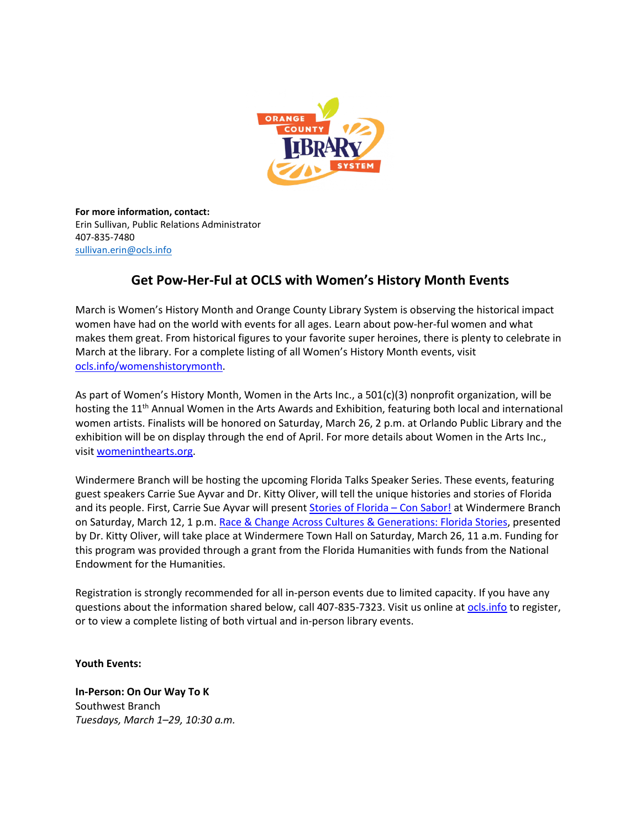

**For more information, contact:** Erin Sullivan, Public Relations Administrator 407-835-7480 [sullivan.erin@ocls.info](mailto:sullivan.erin@ocls.info)

# **Get Pow-Her-Ful at OCLS with Women's History Month Events**

March is Women's History Month and Orange County Library System is observing the historical impact women have had on the world with events for all ages. Learn about pow-her-ful women and what makes them great. From historical figures to your favorite super heroines, there is plenty to celebrate in March at the library. For a complete listing of all Women's History Month events, visit [ocls.info/womenshistorymonth.](https://ocls.info/womenshistorymonth)

As part of Women's History Month, Women in the Arts Inc., a 501(c)(3) nonprofit organization, will be hosting the 11<sup>th</sup> Annual Women in the Arts Awards and Exhibition, featuring both local and international women artists. Finalists will be honored on Saturday, March 26, 2 p.m. at Orlando Public Library and the exhibition will be on display through the end of April. For more details about Women in the Arts Inc., visit [womeninthearts.org.](https://www.womeninthearts.org/)

Windermere Branch will be hosting the upcoming Florida Talks Speaker Series. These events, featuring guest speakers Carrie Sue Ayvar and Dr. Kitty Oliver, will tell the unique histories and stories of Florida and its people. First, Carrie Sue Ayvar will present Stories of [Florida](https://attend.ocls.info/event/6033272) – Con Sabor! at Windermere Branch on Saturday, March 12, 1 p.m. Race & Change Across Cultures & [Generations:](https://attend.ocls.info/event/6034078) Florida Stories, presented by Dr. Kitty Oliver, will take place at Windermere Town Hall on Saturday, March 26, 11 a.m. Funding for this program was provided through a grant from the Florida Humanities with funds from the National Endowment for the Humanities.

Registration is strongly recommended for all in-person events due to limited capacity. If you have any questions about the information shared below, call 407-835-7323. Visit us online at [ocls.info](http://www.ocls.info/) to register, or to view a complete listing of both virtual and in-person library events.

**Youth Events:**

**In-Person: On Our Way To K** Southwest Branch *Tuesdays, March 1–29, 10:30 a.m.*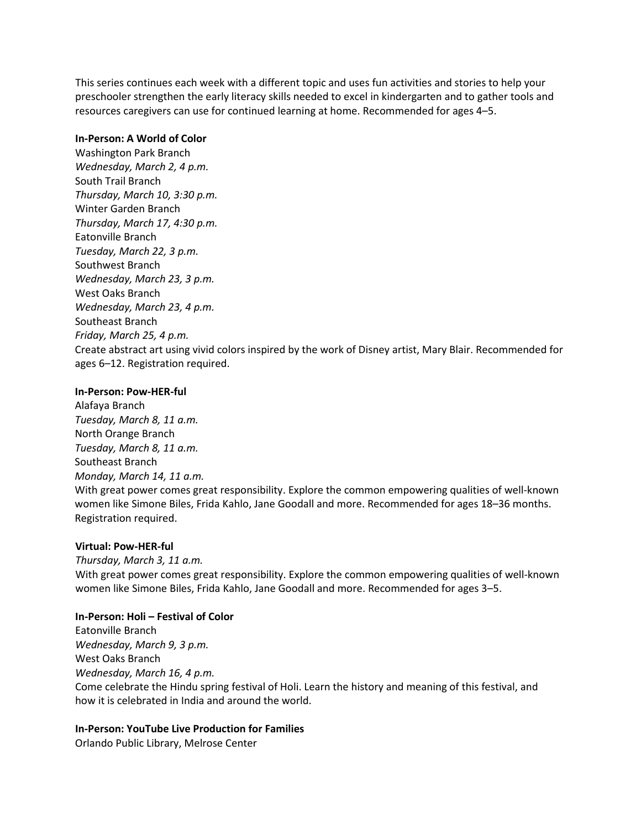This series continues each week with a different topic and uses fun activities and stories to help your preschooler strengthen the early literacy skills needed to excel in kindergarten and to gather tools and resources caregivers can use for continued learning at home. Recommended for ages 4–5.

## **In-Person: A World of Color**

Washington Park Branch *Wednesday, March 2, 4 p.m.* South Trail Branch *Thursday, March 10, 3:30 p.m.* Winter Garden Branch *Thursday, March 17, 4:30 p.m.* Eatonville Branch *Tuesday, March 22, 3 p.m.* Southwest Branch *Wednesday, March 23, 3 p.m.* West Oaks Branch *Wednesday, March 23, 4 p.m.* Southeast Branch *Friday, March 25, 4 p.m.* Create abstract art using vivid colors inspired by the work of Disney artist, Mary Blair. Recommended for ages 6–12. Registration required.

## **In-Person: Pow-HER-ful**

Alafaya Branch *Tuesday, March 8, 11 a.m.* North Orange Branch *Tuesday, March 8, 11 a.m.* Southeast Branch *Monday, March 14, 11 a.m.* With great power comes great responsibility. Explore the common empowering qualities of well-known women like Simone Biles, Frida Kahlo, Jane Goodall and more. Recommended for ages 18–36 months. Registration required.

#### **Virtual: Pow-HER-ful**

*Thursday, March 3, 11 a.m.* With great power comes great responsibility. Explore the common empowering qualities of well-known women like Simone Biles, Frida Kahlo, Jane Goodall and more. Recommended for ages 3–5.

#### **In-Person: Holi – Festival of Color**

Eatonville Branch *Wednesday, March 9, 3 p.m.* West Oaks Branch *Wednesday, March 16, 4 p.m.* Come celebrate the Hindu spring festival of Holi. Learn the history and meaning of this festival, and how it is celebrated in India and around the world.

#### **In-Person: YouTube Live Production for Families**

Orlando Public Library, Melrose Center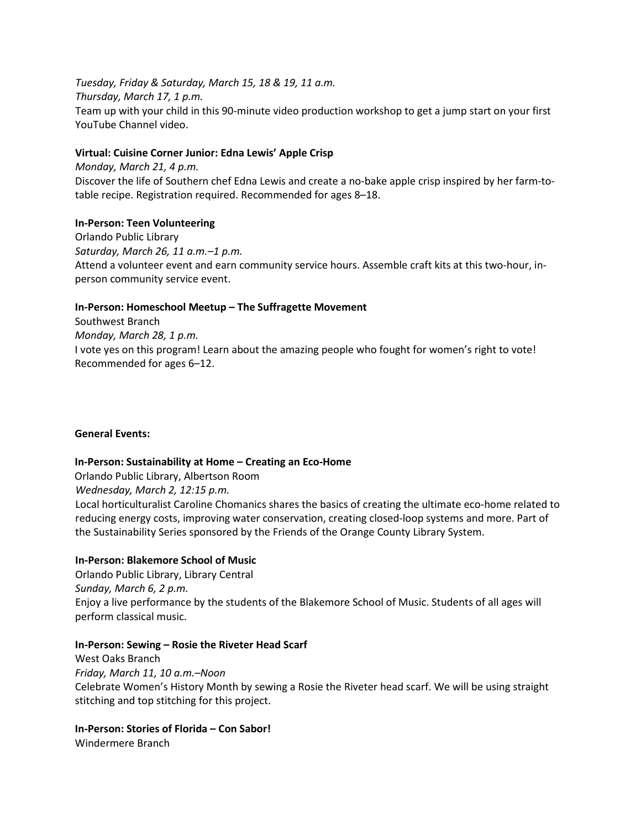*Tuesday, Friday & Saturday, March 15, 18 & 19, 11 a.m. Thursday, March 17, 1 p.m.* Team up with your child in this 90-minute video production workshop to get a jump start on your first YouTube Channel video.

## **Virtual: Cuisine Corner Junior: Edna Lewis' Apple Crisp**

*Monday, March 21, 4 p.m.* Discover the life of Southern chef Edna Lewis and create a no-bake apple crisp inspired by her farm-totable recipe. Registration required. Recommended for ages 8–18.

## **In-Person: Teen Volunteering**

Orlando Public Library *Saturday, March 26, 11 a.m.–1 p.m.* Attend a volunteer event and earn community service hours. Assemble craft kits at this two-hour, inperson community service event.

## **In-Person: Homeschool Meetup – The Suffragette Movement**

Southwest Branch *Monday, March 28, 1 p.m.* I vote yes on this program! Learn about the amazing people who fought for women's right to vote! Recommended for ages 6–12.

#### **General Events:**

#### **In-Person: Sustainability at Home – Creating an Eco-Home**

Orlando Public Library, Albertson Room *Wednesday, March 2, 12:15 p.m.* Local horticulturalist Caroline Chomanics shares the basics of creating the ultimate eco-home related to reducing energy costs, improving water conservation, creating closed-loop systems and more. Part of the Sustainability Series sponsored by the Friends of the Orange County Library System.

#### **In-Person: Blakemore School of Music**

Orlando Public Library, Library Central *Sunday, March 6, 2 p.m.* Enjoy a live performance by the students of the Blakemore School of Music. Students of all ages will perform classical music.

#### **In-Person: Sewing – Rosie the Riveter Head Scarf**

West Oaks Branch *Friday, March 11, 10 a.m.–Noon* Celebrate Women's History Month by sewing a Rosie the Riveter head scarf. We will be using straight stitching and top stitching for this project.

# **In-Person: Stories of Florida – Con Sabor!**

Windermere Branch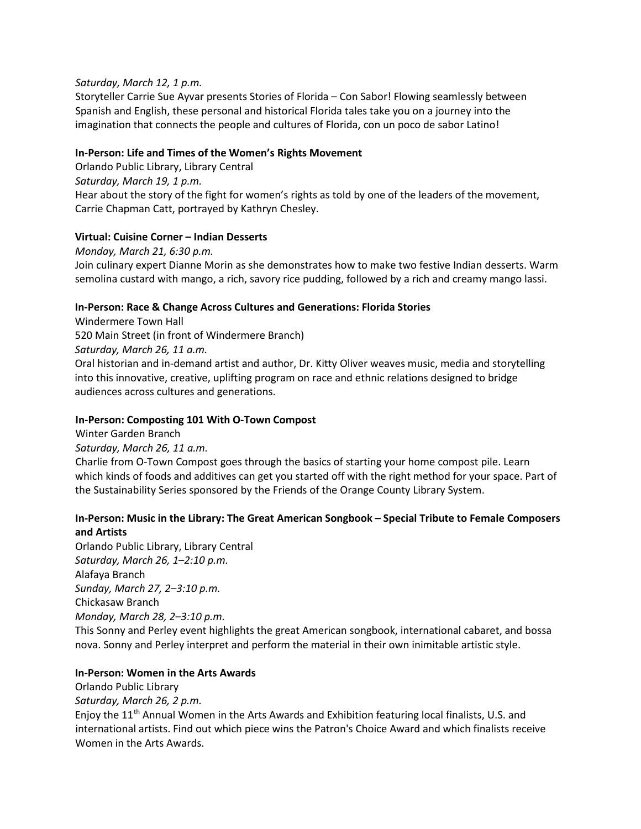## *Saturday, March 12, 1 p.m.*

Storyteller Carrie Sue Ayvar presents Stories of Florida – Con Sabor! Flowing seamlessly between Spanish and English, these personal and historical Florida tales take you on a journey into the imagination that connects the people and cultures of Florida, con un poco de sabor Latino!

## **In-Person: Life and Times of the Women's Rights Movement**

Orlando Public Library, Library Central *Saturday, March 19, 1 p.m.* Hear about the story of the fight for women's rights as told by one of the leaders of the movement, Carrie Chapman Catt, portrayed by Kathryn Chesley.

# **Virtual: Cuisine Corner – Indian Desserts**

*Monday, March 21, 6:30 p.m.* Join culinary expert Dianne Morin as she demonstrates how to make two festive Indian desserts. Warm semolina custard with mango, a rich, savory rice pudding, followed by a rich and creamy mango lassi.

# **In-Person: Race & Change Across Cultures and Generations: Florida Stories**

Windermere Town Hall 520 Main Street (in front of Windermere Branch) *Saturday, March 26, 11 a.m.* Oral historian and in-demand artist and author, Dr. Kitty Oliver weaves music, media and storytelling into this innovative, creative, uplifting program on race and ethnic relations designed to bridge audiences across cultures and generations.

# **In-Person: Composting 101 With O-Town Compost**

Winter Garden Branch

*Saturday, March 26, 11 a.m.*

Charlie from O-Town Compost goes through the basics of starting your home compost pile. Learn which kinds of foods and additives can get you started off with the right method for your space. Part of the Sustainability Series sponsored by the Friends of the Orange County Library System.

# **In-Person: Music in the Library: The Great American Songbook – Special Tribute to Female Composers and Artists**

Orlando Public Library, Library Central *Saturday, March 26, 1–2:10 p.m.* Alafaya Branch *Sunday, March 27, 2–3:10 p.m.* Chickasaw Branch *Monday, March 28, 2–3:10 p.m.*

This Sonny and Perley event highlights the great American songbook, international cabaret, and bossa nova. Sonny and Perley interpret and perform the material in their own inimitable artistic style.

## **In-Person: Women in the Arts Awards**

Orlando Public Library *Saturday, March 26, 2 p.m.* Enjoy the 11<sup>th</sup> Annual Women in the Arts Awards and Exhibition featuring local finalists, U.S. and international artists. Find out which piece wins the Patron's Choice Award and which finalists receive Women in the Arts Awards.